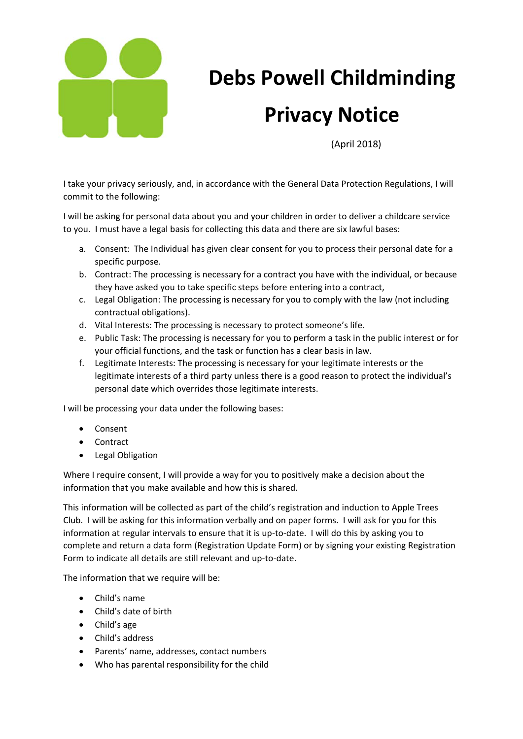

# **Debs Powell Childminding**

### **Privacy Notice**

(April 2018)

I take your privacy seriously, and, in accordance with the General Data Protection Regulations, I will commit to the following:

I will be asking for personal data about you and your children in order to deliver a childcare service to you. I must have a legal basis for collecting this data and there are six lawful bases:

- a. Consent: The Individual has given clear consent for you to process their personal date for a specific purpose.
- b. Contract: The processing is necessary for a contract you have with the individual, or because they have asked you to take specific steps before entering into a contract,
- c. Legal Obligation: The processing is necessary for you to comply with the law (not including contractual obligations).
- d. Vital Interests: The processing is necessary to protect someone's life.
- e. Public Task: The processing is necessary for you to perform a task in the public interest or for your official functions, and the task or function has a clear basis in law.
- f. Legitimate Interests: The processing is necessary for your legitimate interests or the legitimate interests of a third party unless there is a good reason to protect the individual's personal date which overrides those legitimate interests.

I will be processing your data under the following bases:

- Consent
- Contract
- Legal Obligation

Where I require consent, I will provide a way for you to positively make a decision about the information that you make available and how this is shared.

This information will be collected as part of the child's registration and induction to Apple Trees Club. I will be asking for this information verbally and on paper forms. I will ask for you for this information at regular intervals to ensure that it is up-to-date. I will do this by asking you to complete and return a data form (Registration Update Form) or by signing your existing Registration Form to indicate all details are still relevant and up‐to‐date.

The information that we require will be:

- Child's name
- Child's date of birth
- Child's age
- Child's address
- Parents' name, addresses, contact numbers
- Who has parental responsibility for the child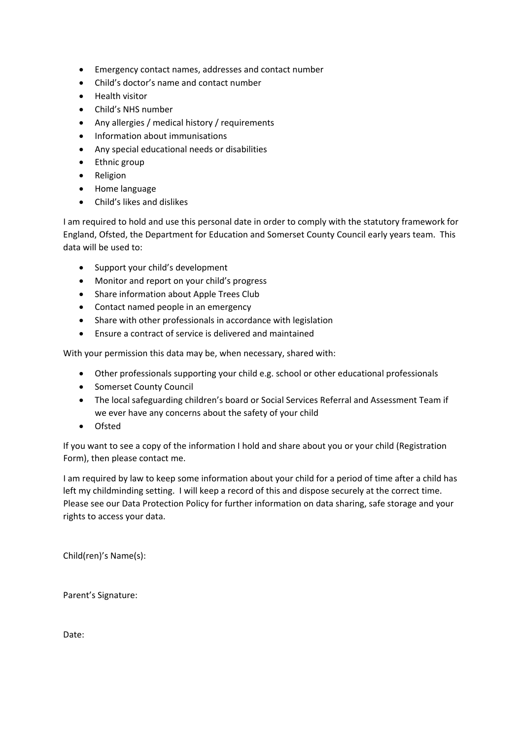- Emergency contact names, addresses and contact number
- Child's doctor's name and contact number
- Health visitor
- Child's NHS number
- Any allergies / medical history / requirements
- Information about immunisations
- Any special educational needs or disabilities
- Ethnic group
- Religion
- Home language
- Child's likes and dislikes

I am required to hold and use this personal date in order to comply with the statutory framework for England, Ofsted, the Department for Education and Somerset County Council early years team. This data will be used to:

- Support your child's development
- Monitor and report on your child's progress
- Share information about Apple Trees Club
- Contact named people in an emergency
- Share with other professionals in accordance with legislation
- Ensure a contract of service is delivered and maintained

With your permission this data may be, when necessary, shared with:

- Other professionals supporting your child e.g. school or other educational professionals
- Somerset County Council
- The local safeguarding children's board or Social Services Referral and Assessment Team if we ever have any concerns about the safety of your child
- Ofsted

If you want to see a copy of the information I hold and share about you or your child (Registration Form), then please contact me.

I am required by law to keep some information about your child for a period of time after a child has left my childminding setting. I will keep a record of this and dispose securely at the correct time. Please see our Data Protection Policy for further information on data sharing, safe storage and your rights to access your data.

Child(ren)'s Name(s):

Parent's Signature:

Date: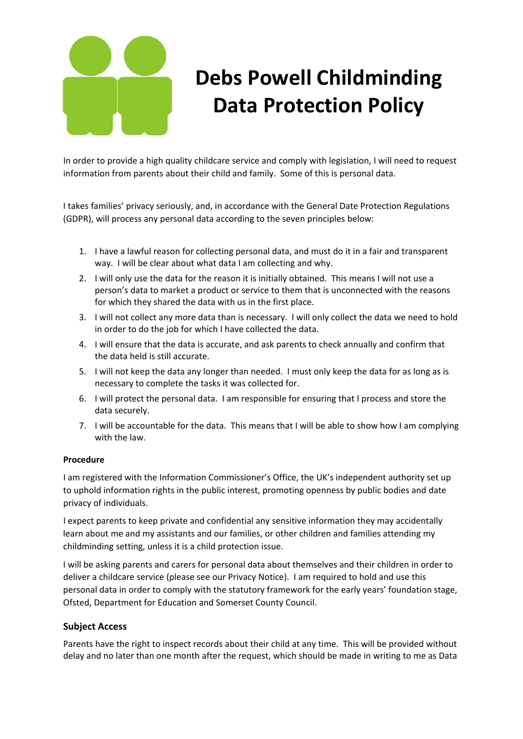## **Debs Powell Childminding Data Protection Policy**

In order to provide a high quality childcare service and comply with legislation, I will need to request information from parents about their child and family. Some of this is personal data.

I takes families' privacy seriously, and, in accordance with the General Date Protection Regulations (GDPR), will process any personal data according to the seven principles below:

- 1. I have a lawful reason for collecting personal data, and must do it in a fair and transparent way. I will be clear about what data I am collecting and why.
- 2. I will only use the data for the reason it is initially obtained. This means I will not use a person's data to market a product or service to them that is unconnected with the reasons for which they shared the data with us in the first place.
- 3. I will not collect any more data than is necessary. I will only collect the data we need to hold in order to do the job for which I have collected the data.
- 4. I will ensure that the data is accurate, and ask parents to check annually and confirm that the data held is still accurate.
- 5. I will not keep the data any longer than needed. I must only keep the data for as long as is necessary to complete the tasks it was collected for.
- 6. I will protect the personal data. I am responsible for ensuring that I process and store the data securely.
- 7. I will be accountable for the data. This means that I will be able to show how I am complying with the law.

### **Procedure**

I am registered with the Information Commissioner's Office, the UK's independent authority set up to uphold information rights in the public interest, promoting openness by public bodies and date privacy of individuals.

I expect parents to keep private and confidential any sensitive information they may accidentally learn about me and my assistants and our families, or other children and families attending my childminding setting, unless it is a child protection issue.

I will be asking parents and carers for personal data about themselves and their children in order to deliver a childcare service (please see our Privacy Notice). I am required to hold and use this personal data in order to comply with the statutory framework for the early years' foundation stage, Ofsted, Department for Education and Somerset County Council.

### **Subject Access**

Parents have the right to inspect records about their child at any time. This will be provided without delay and no later than one month after the request, which should be made in writing to me as Data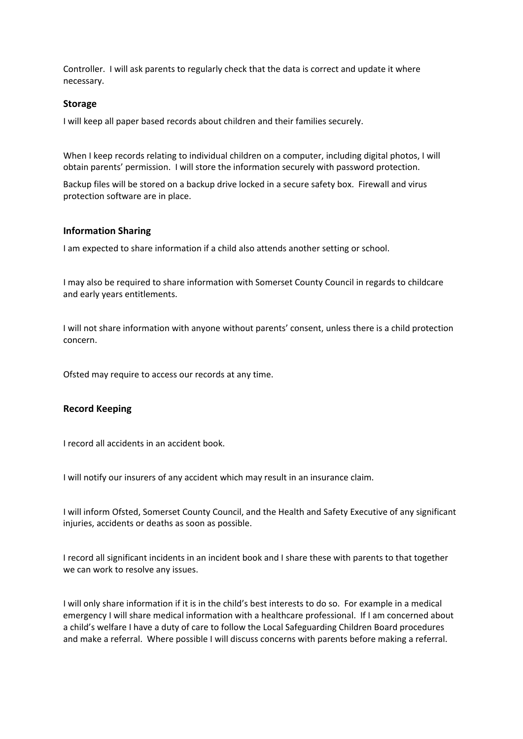Controller. I will ask parents to regularly check that the data is correct and update it where necessary.

#### **Storage**

I will keep all paper based records about children and their families securely.

When I keep records relating to individual children on a computer, including digital photos, I will obtain parents' permission. I will store the information securely with password protection.

Backup files will be stored on a backup drive locked in a secure safety box. Firewall and virus protection software are in place.

#### **Information Sharing**

I am expected to share information if a child also attends another setting or school.

I may also be required to share information with Somerset County Council in regards to childcare and early years entitlements.

I will not share information with anyone without parents' consent, unless there is a child protection concern.

Ofsted may require to access our records at any time.

#### **Record Keeping**

I record all accidents in an accident book.

I will notify our insurers of any accident which may result in an insurance claim.

I will inform Ofsted, Somerset County Council, and the Health and Safety Executive of any significant injuries, accidents or deaths as soon as possible.

I record all significant incidents in an incident book and I share these with parents to that together we can work to resolve any issues.

I will only share information if it is in the child's best interests to do so. For example in a medical emergency I will share medical information with a healthcare professional. If I am concerned about a child's welfare I have a duty of care to follow the Local Safeguarding Children Board procedures and make a referral. Where possible I will discuss concerns with parents before making a referral.